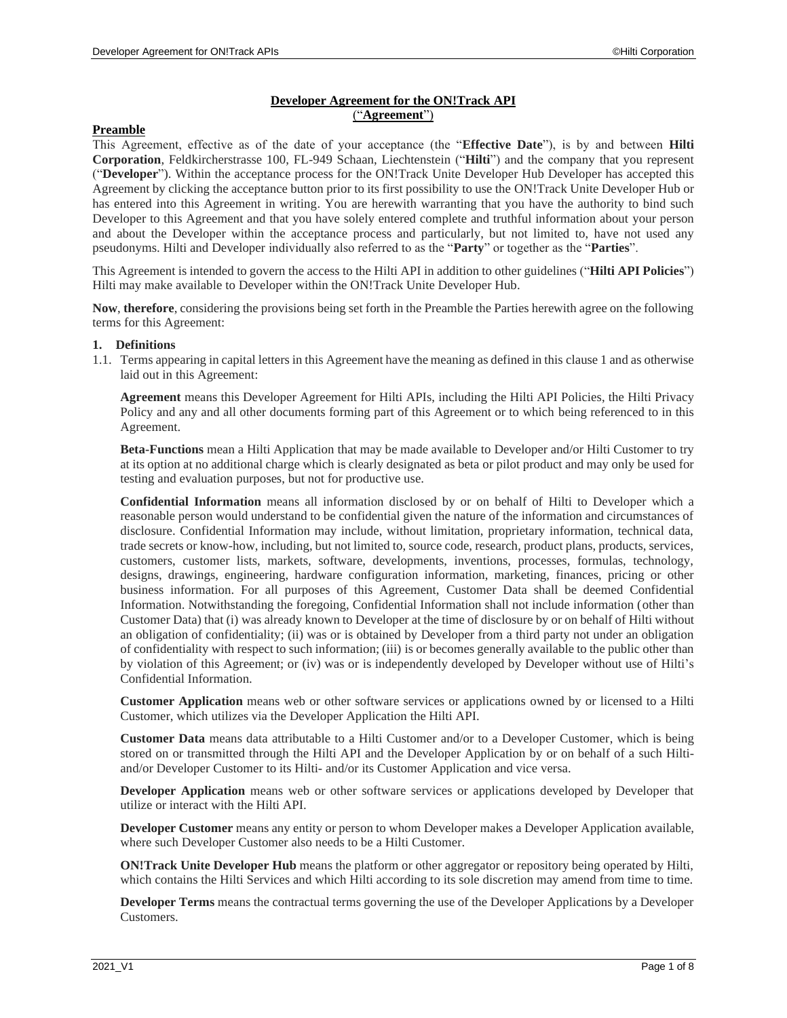# **Developer Agreement for the ON!Track API** ("**Agreement**")

# **Preamble**

This Agreement, effective as of the date of your acceptance (the "**Effective Date**"), is by and between **Hilti Corporation**, Feldkircherstrasse 100, FL-949 Schaan, Liechtenstein ("**Hilti**") and the company that you represent ("**Developer**"). Within the acceptance process for the ON!Track Unite Developer Hub Developer has accepted this Agreement by clicking the acceptance button prior to its first possibility to use the ON!Track Unite Developer Hub or has entered into this Agreement in writing. You are herewith warranting that you have the authority to bind such Developer to this Agreement and that you have solely entered complete and truthful information about your person and about the Developer within the acceptance process and particularly, but not limited to, have not used any pseudonyms. Hilti and Developer individually also referred to as the "**Party**" or together as the "**Parties**".

This Agreement is intended to govern the access to the Hilti API in addition to other guidelines ("**Hilti API Policies**") Hilti may make available to Developer within the ON!Track Unite Developer Hub.

**Now**, **therefore**, considering the provisions being set forth in the Preamble the Parties herewith agree on the following terms for this Agreement:

#### <span id="page-0-0"></span>**1. Definitions**

1.1. Terms appearing in capital letters in this Agreement have the meaning as defined in this claus[e 1](#page-0-0) and as otherwise laid out in this Agreement:

**Agreement** means this Developer Agreement for Hilti APIs, including the Hilti API Policies, the Hilti Privacy Policy and any and all other documents forming part of this Agreement or to which being referenced to in this Agreement.

**Beta-Functions** mean a Hilti Application that may be made available to Developer and/or Hilti Customer to try at its option at no additional charge which is clearly designated as beta or pilot product and may only be used for testing and evaluation purposes, but not for productive use.

**Confidential Information** means all information disclosed by or on behalf of Hilti to Developer which a reasonable person would understand to be confidential given the nature of the information and circumstances of disclosure. Confidential Information may include, without limitation, proprietary information, technical data, trade secrets or know-how, including, but not limited to, source code, research, product plans, products, services, customers, customer lists, markets, software, developments, inventions, processes, formulas, technology, designs, drawings, engineering, hardware configuration information, marketing, finances, pricing or other business information. For all purposes of this Agreement, Customer Data shall be deemed Confidential Information. Notwithstanding the foregoing, Confidential Information shall not include information (other than Customer Data) that (i) was already known to Developer at the time of disclosure by or on behalf of Hilti without an obligation of confidentiality; (ii) was or is obtained by Developer from a third party not under an obligation of confidentiality with respect to such information; (iii) is or becomes generally available to the public other than by violation of this Agreement; or (iv) was or is independently developed by Developer without use of Hilti's Confidential Information.

**Customer Application** means web or other software services or applications owned by or licensed to a Hilti Customer, which utilizes via the Developer Application the Hilti API.

**Customer Data** means data attributable to a Hilti Customer and/or to a Developer Customer, which is being stored on or transmitted through the Hilti API and the Developer Application by or on behalf of a such Hiltiand/or Developer Customer to its Hilti- and/or its Customer Application and vice versa.

**Developer Application** means web or other software services or applications developed by Developer that utilize or interact with the Hilti API.

**Developer Customer** means any entity or person to whom Developer makes a Developer Application available, where such Developer Customer also needs to be a Hilti Customer.

**ON!Track Unite Developer Hub** means the platform or other aggregator or repository being operated by Hilti, which contains the Hilti Services and which Hilti according to its sole discretion may amend from time to time.

**Developer Terms** means the contractual terms governing the use of the Developer Applications by a Developer Customers.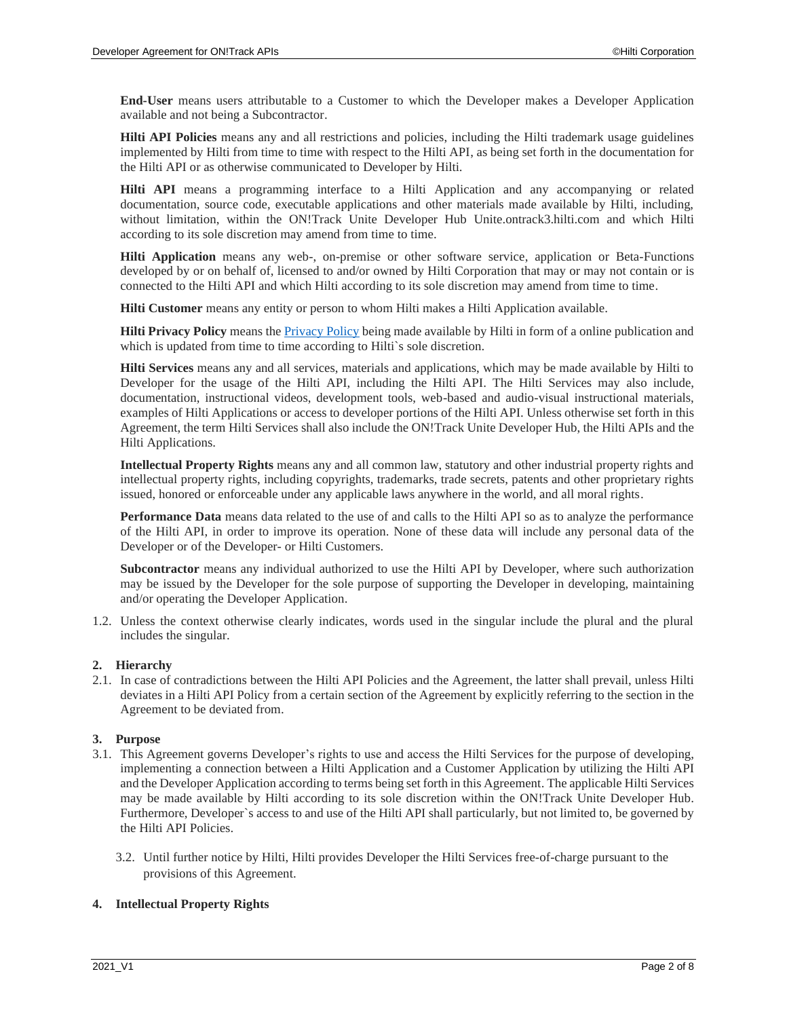**End-User** means users attributable to a Customer to which the Developer makes a Developer Application available and not being a Subcontractor.

**Hilti API Policies** means any and all restrictions and policies, including the Hilti trademark usage guidelines implemented by Hilti from time to time with respect to the Hilti API, as being set forth in the documentation for the Hilti API or as otherwise communicated to Developer by Hilti.

**Hilti API** means a programming interface to a Hilti Application and any accompanying or related documentation, source code, executable applications and other materials made available by Hilti, including, without limitation, within the ON!Track Unite Developer Hub Unite.ontrack3.hilti.com and which Hilti according to its sole discretion may amend from time to time.

**Hilti Application** means any web-, on-premise or other software service, application or Beta-Functions developed by or on behalf of, licensed to and/or owned by Hilti Corporation that may or may not contain or is connected to the Hilti API and which Hilti according to its sole discretion may amend from time to time.

**Hilti Customer** means any entity or person to whom Hilti makes a Hilti Application available.

**Hilti Privacy Policy** means the [Privacy Policy](https://www.hilti.group/content/hilti/CP/XX/en/non-transactional/footer-seiten/gb_privacy.html) being made available by Hilti in form of a online publication and which is updated from time to time according to Hilti's sole discretion.

**Hilti Services** means any and all services, materials and applications, which may be made available by Hilti to Developer for the usage of the Hilti API, including the Hilti API. The Hilti Services may also include, documentation, instructional videos, development tools, web-based and audio-visual instructional materials, examples of Hilti Applications or access to developer portions of the Hilti API. Unless otherwise set forth in this Agreement, the term Hilti Services shall also include the ON!Track Unite Developer Hub, the Hilti APIs and the Hilti Applications.

**Intellectual Property Rights** means any and all common law, statutory and other industrial property rights and intellectual property rights, including copyrights, trademarks, trade secrets, patents and other proprietary rights issued, honored or enforceable under any applicable laws anywhere in the world, and all moral rights.

**Performance Data** means data related to the use of and calls to the Hilti API so as to analyze the performance of the Hilti API, in order to improve its operation. None of these data will include any personal data of the Developer or of the Developer- or Hilti Customers.

**Subcontractor** means any individual authorized to use the Hilti API by Developer, where such authorization may be issued by the Developer for the sole purpose of supporting the Developer in developing, maintaining and/or operating the Developer Application.

1.2. Unless the context otherwise clearly indicates, words used in the singular include the plural and the plural includes the singular.

### **2. Hierarchy**

2.1. In case of contradictions between the Hilti API Policies and the Agreement, the latter shall prevail, unless Hilti deviates in a Hilti API Policy from a certain section of the Agreement by explicitly referring to the section in the Agreement to be deviated from.

### **3. Purpose**

- 3.1. This Agreement governs Developer's rights to use and access the Hilti Services for the purpose of developing, implementing a connection between a Hilti Application and a Customer Application by utilizing the Hilti API and the Developer Application according to terms being set forth in this Agreement. The applicable Hilti Services may be made available by Hilti according to its sole discretion within the ON!Track Unite Developer Hub. Furthermore, Developer`s access to and use of the Hilti API shall particularly, but not limited to, be governed by the Hilti API Policies.
	- 3.2. Until further notice by Hilti, Hilti provides Developer the Hilti Services free-of-charge pursuant to the provisions of this Agreement.

### **4. Intellectual Property Rights**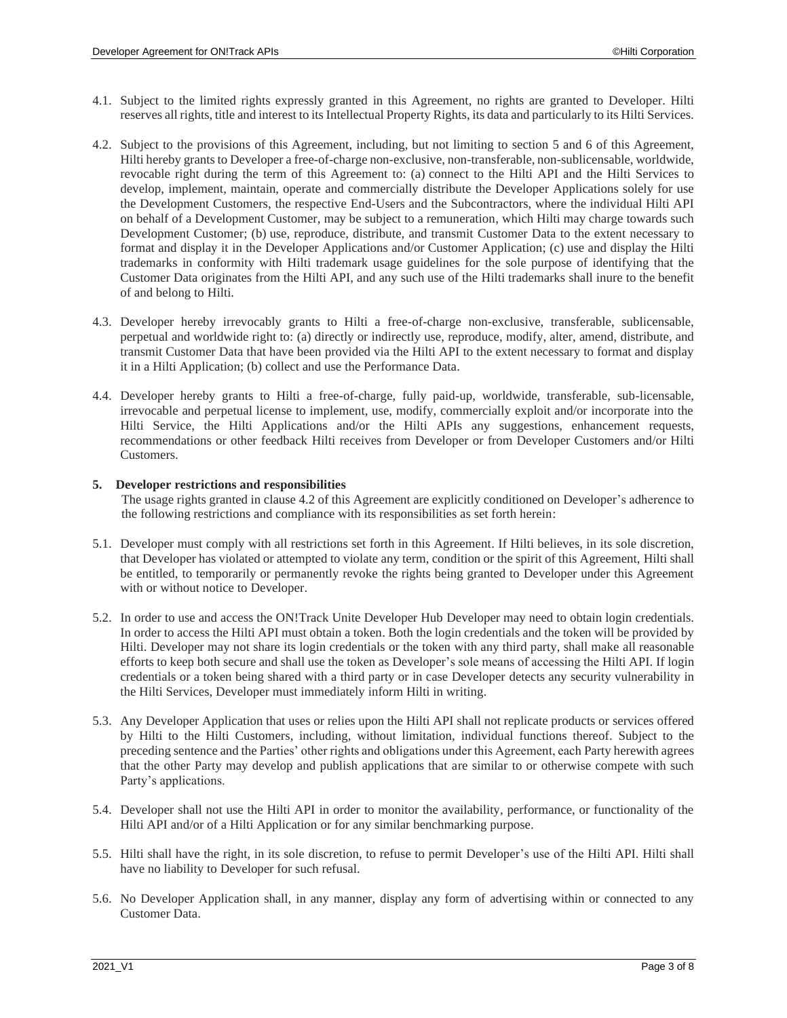- 4.1. Subject to the limited rights expressly granted in this Agreement, no rights are granted to Developer. Hilti reserves all rights, title and interest to its Intellectual Property Rights, its data and particularly to its Hilti Services.
- <span id="page-2-1"></span>4.2. Subject to the provisions of this Agreement, including, but not limiting to section [5](#page-2-0) and [6](#page-3-0) of this Agreement, Hilti hereby grants to Developer a free-of-charge non-exclusive, non-transferable, non-sublicensable, worldwide, revocable right during the term of this Agreement to: (a) connect to the Hilti API and the Hilti Services to develop, implement, maintain, operate and commercially distribute the Developer Applications solely for use the Development Customers, the respective End-Users and the Subcontractors, where the individual Hilti API on behalf of a Development Customer, may be subject to a remuneration, which Hilti may charge towards such Development Customer; (b) use, reproduce, distribute, and transmit Customer Data to the extent necessary to format and display it in the Developer Applications and/or Customer Application; (c) use and display the Hilti trademarks in conformity with Hilti trademark usage guidelines for the sole purpose of identifying that the Customer Data originates from the Hilti API, and any such use of the Hilti trademarks shall inure to the benefit of and belong to Hilti.
- 4.3. Developer hereby irrevocably grants to Hilti a free-of-charge non-exclusive, transferable, sublicensable, perpetual and worldwide right to: (a) directly or indirectly use, reproduce, modify, alter, amend, distribute, and transmit Customer Data that have been provided via the Hilti API to the extent necessary to format and display it in a Hilti Application; (b) collect and use the Performance Data.
- 4.4. Developer hereby grants to Hilti a free-of-charge, fully paid-up, worldwide, transferable, sub-licensable, irrevocable and perpetual license to implement, use, modify, commercially exploit and/or incorporate into the Hilti Service, the Hilti Applications and/or the Hilti APIs any suggestions, enhancement requests, recommendations or other feedback Hilti receives from Developer or from Developer Customers and/or Hilti Customers.

#### <span id="page-2-0"></span>**5. Developer restrictions and responsibilities**

The usage rights granted in clause [4.2](#page-2-1) of this Agreement are explicitly conditioned on Developer's adherence to the following restrictions and compliance with its responsibilities as set forth herein:

- 5.1. Developer must comply with all restrictions set forth in this Agreement. If Hilti believes, in its sole discretion, that Developer has violated or attempted to violate any term, condition or the spirit of this Agreement, Hilti shall be entitled, to temporarily or permanently revoke the rights being granted to Developer under this Agreement with or without notice to Developer.
- 5.2. In order to use and access the ON!Track Unite Developer Hub Developer may need to obtain login credentials. In order to access the Hilti API must obtain a token. Both the login credentials and the token will be provided by Hilti. Developer may not share its login credentials or the token with any third party, shall make all reasonable efforts to keep both secure and shall use the token as Developer's sole means of accessing the Hilti API. If login credentials or a token being shared with a third party or in case Developer detects any security vulnerability in the Hilti Services, Developer must immediately inform Hilti in writing.
- 5.3. Any Developer Application that uses or relies upon the Hilti API shall not replicate products or services offered by Hilti to the Hilti Customers, including, without limitation, individual functions thereof. Subject to the preceding sentence and the Parties' other rights and obligations under this Agreement, each Party herewith agrees that the other Party may develop and publish applications that are similar to or otherwise compete with such Party's applications.
- 5.4. Developer shall not use the Hilti API in order to monitor the availability, performance, or functionality of the Hilti API and/or of a Hilti Application or for any similar benchmarking purpose.
- 5.5. Hilti shall have the right, in its sole discretion, to refuse to permit Developer's use of the Hilti API. Hilti shall have no liability to Developer for such refusal.
- 5.6. No Developer Application shall, in any manner, display any form of advertising within or connected to any Customer Data.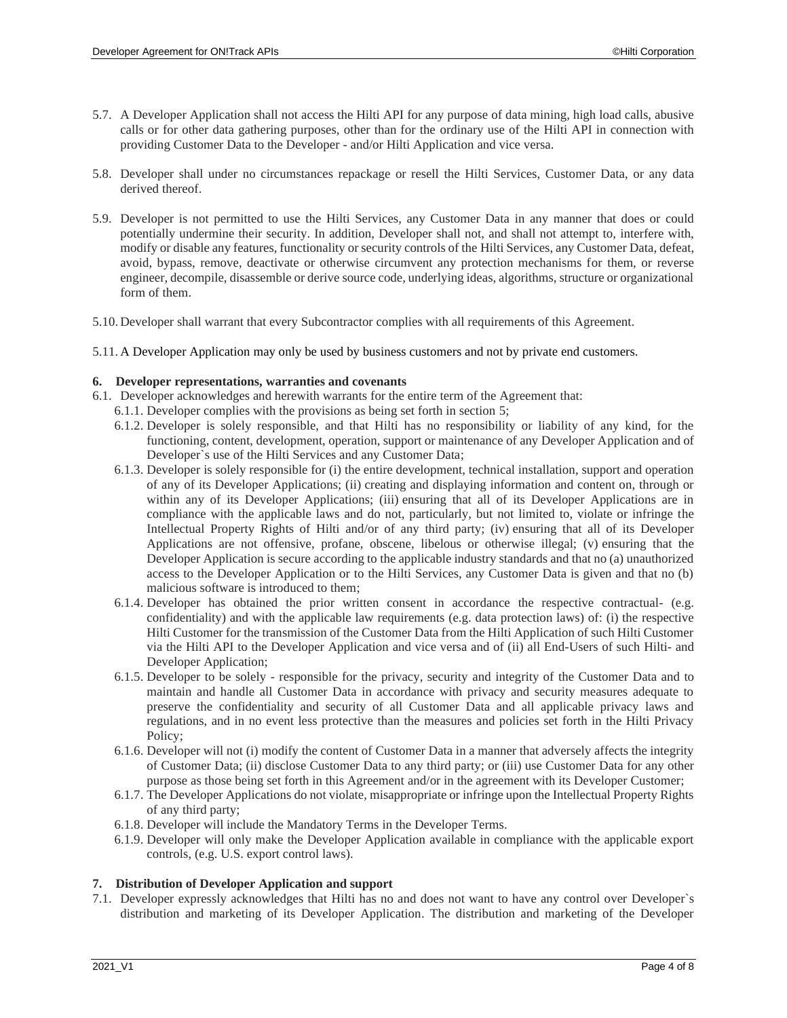- 5.7. A Developer Application shall not access the Hilti API for any purpose of data mining, high load calls, abusive calls or for other data gathering purposes, other than for the ordinary use of the Hilti API in connection with providing Customer Data to the Developer - and/or Hilti Application and vice versa.
- 5.8. Developer shall under no circumstances repackage or resell the Hilti Services, Customer Data, or any data derived thereof.
- 5.9. Developer is not permitted to use the Hilti Services, any Customer Data in any manner that does or could potentially undermine their security. In addition, Developer shall not, and shall not attempt to, interfere with, modify or disable any features, functionality or security controls of the Hilti Services, any Customer Data, defeat, avoid, bypass, remove, deactivate or otherwise circumvent any protection mechanisms for them, or reverse engineer, decompile, disassemble or derive source code, underlying ideas, algorithms, structure or organizational form of them.
- 5.10. Developer shall warrant that every Subcontractor complies with all requirements of this Agreement.
- 5.11. A Developer Application may only be used by business customers and not by private end customers.

#### <span id="page-3-0"></span>**6. Developer representations, warranties and covenants**

- 6.1. Developer acknowledges and herewith warrants for the entire term of the Agreement that:
	- 6.1.1. Developer complies with the provisions as being set forth in section [5;](#page-2-0)
	- 6.1.2. Developer is solely responsible, and that Hilti has no responsibility or liability of any kind, for the functioning, content, development, operation, support or maintenance of any Developer Application and of Developer`s use of the Hilti Services and any Customer Data;
	- 6.1.3. Developer is solely responsible for (i) the entire development, technical installation, support and operation of any of its Developer Applications; (ii) creating and displaying information and content on, through or within any of its Developer Applications; (iii) ensuring that all of its Developer Applications are in compliance with the applicable laws and do not, particularly, but not limited to, violate or infringe the Intellectual Property Rights of Hilti and/or of any third party; (iv) ensuring that all of its Developer Applications are not offensive, profane, obscene, libelous or otherwise illegal; (v) ensuring that the Developer Application is secure according to the applicable industry standards and that no (a) unauthorized access to the Developer Application or to the Hilti Services, any Customer Data is given and that no (b) malicious software is introduced to them;
	- 6.1.4. Developer has obtained the prior written consent in accordance the respective contractual- (e.g. confidentiality) and with the applicable law requirements (e.g. data protection laws) of: (i) the respective Hilti Customer for the transmission of the Customer Data from the Hilti Application of such Hilti Customer via the Hilti API to the Developer Application and vice versa and of (ii) all End-Users of such Hilti- and Developer Application;
	- 6.1.5. Developer to be solely responsible for the privacy, security and integrity of the Customer Data and to maintain and handle all Customer Data in accordance with privacy and security measures adequate to preserve the confidentiality and security of all Customer Data and all applicable privacy laws and regulations, and in no event less protective than the measures and policies set forth in the Hilti Privacy Policy;
	- 6.1.6. Developer will not (i) modify the content of Customer Data in a manner that adversely affects the integrity of Customer Data; (ii) disclose Customer Data to any third party; or (iii) use Customer Data for any other purpose as those being set forth in this Agreement and/or in the agreement with its Developer Customer;
	- 6.1.7. The Developer Applications do not violate, misappropriate or infringe upon the Intellectual Property Rights of any third party;
	- 6.1.8. Developer will include the Mandatory Terms in the Developer Terms.
	- 6.1.9. Developer will only make the Developer Application available in compliance with the applicable export controls, (e.g. U.S. export control laws).

#### **7. Distribution of Developer Application and support**

<span id="page-3-1"></span>7.1. Developer expressly acknowledges that Hilti has no and does not want to have any control over Developer`s distribution and marketing of its Developer Application. The distribution and marketing of the Developer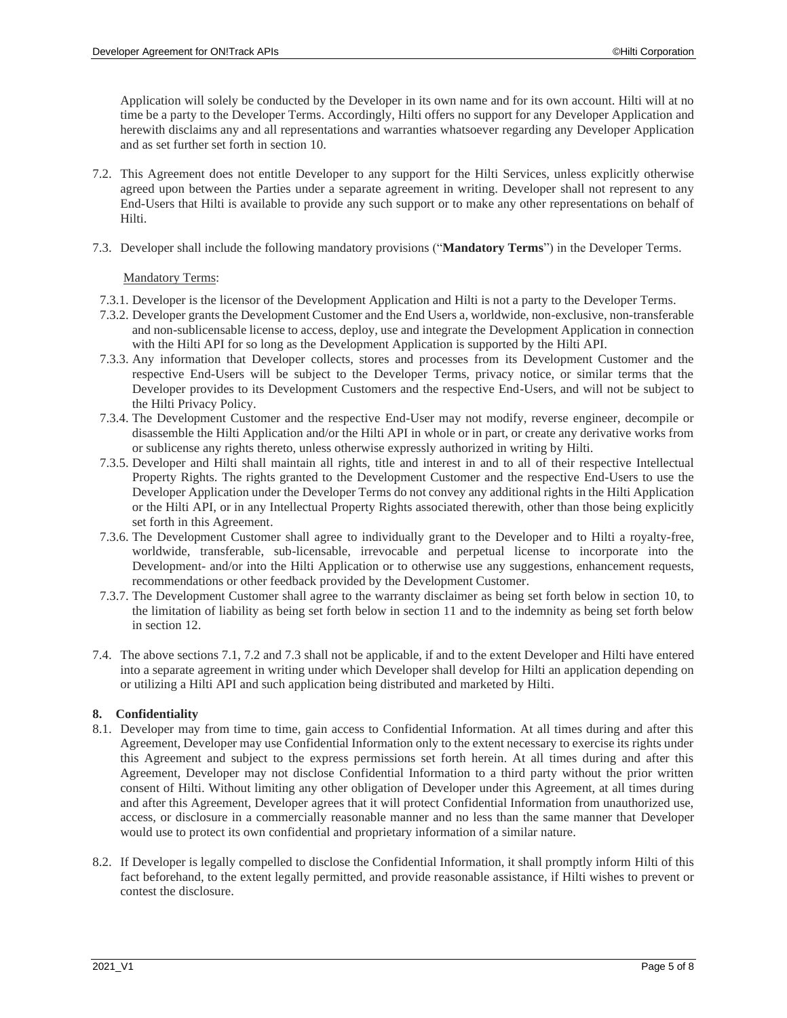Application will solely be conducted by the Developer in its own name and for its own account. Hilti will at no time be a party to the Developer Terms. Accordingly, Hilti offers no support for any Developer Application and herewith disclaims any and all representations and warranties whatsoever regarding any Developer Application and as set further set forth in section [10.](#page-5-0)

- <span id="page-4-0"></span>7.2. This Agreement does not entitle Developer to any support for the Hilti Services, unless explicitly otherwise agreed upon between the Parties under a separate agreement in writing. Developer shall not represent to any End-Users that Hilti is available to provide any such support or to make any other representations on behalf of Hilti.
- <span id="page-4-1"></span>7.3. Developer shall include the following mandatory provisions ("**Mandatory Terms**") in the Developer Terms.

### Mandatory Terms:

- 7.3.1. Developer is the licensor of the Development Application and Hilti is not a party to the Developer Terms.
- 7.3.2. Developer grants the Development Customer and the End Users a, worldwide, non-exclusive, non-transferable and non-sublicensable license to access, deploy, use and integrate the Development Application in connection with the Hilti API for so long as the Development Application is supported by the Hilti API.
- 7.3.3. Any information that Developer collects, stores and processes from its Development Customer and the respective End-Users will be subject to the Developer Terms, privacy notice, or similar terms that the Developer provides to its Development Customers and the respective End-Users, and will not be subject to the Hilti Privacy Policy.
- 7.3.4. The Development Customer and the respective End-User may not modify, reverse engineer, decompile or disassemble the Hilti Application and/or the Hilti API in whole or in part, or create any derivative works from or sublicense any rights thereto, unless otherwise expressly authorized in writing by Hilti.
- 7.3.5. Developer and Hilti shall maintain all rights, title and interest in and to all of their respective Intellectual Property Rights. The rights granted to the Development Customer and the respective End-Users to use the Developer Application under the Developer Terms do not convey any additional rights in the Hilti Application or the Hilti API, or in any Intellectual Property Rights associated therewith, other than those being explicitly set forth in this Agreement.
- 7.3.6. The Development Customer shall agree to individually grant to the Developer and to Hilti a royalty-free, worldwide, transferable, sub-licensable, irrevocable and perpetual license to incorporate into the Development- and/or into the Hilti Application or to otherwise use any suggestions, enhancement requests, recommendations or other feedback provided by the Development Customer.
- 7.3.7. The Development Customer shall agree to the warranty disclaimer as being set forth below in section [10,](#page-5-0) to the limitation of liability as being set forth below in section [11](#page-5-1) and to the indemnity as being set forth below in section [12.](#page-5-2)
- 7.4. The above section[s 7.1,](#page-3-1) [7.2](#page-4-0) an[d 7.3](#page-4-1) shall not be applicable, if and to the extent Developer and Hilti have entered into a separate agreement in writing under which Developer shall develop for Hilti an application depending on or utilizing a Hilti API and such application being distributed and marketed by Hilti.

### **8. Confidentiality**

- 8.1. Developer may from time to time, gain access to Confidential Information. At all times during and after this Agreement, Developer may use Confidential Information only to the extent necessary to exercise its rights under this Agreement and subject to the express permissions set forth herein. At all times during and after this Agreement, Developer may not disclose Confidential Information to a third party without the prior written consent of Hilti. Without limiting any other obligation of Developer under this Agreement, at all times during and after this Agreement, Developer agrees that it will protect Confidential Information from unauthorized use, access, or disclosure in a commercially reasonable manner and no less than the same manner that Developer would use to protect its own confidential and proprietary information of a similar nature.
- 8.2. If Developer is legally compelled to disclose the Confidential Information, it shall promptly inform Hilti of this fact beforehand, to the extent legally permitted, and provide reasonable assistance, if Hilti wishes to prevent or contest the disclosure.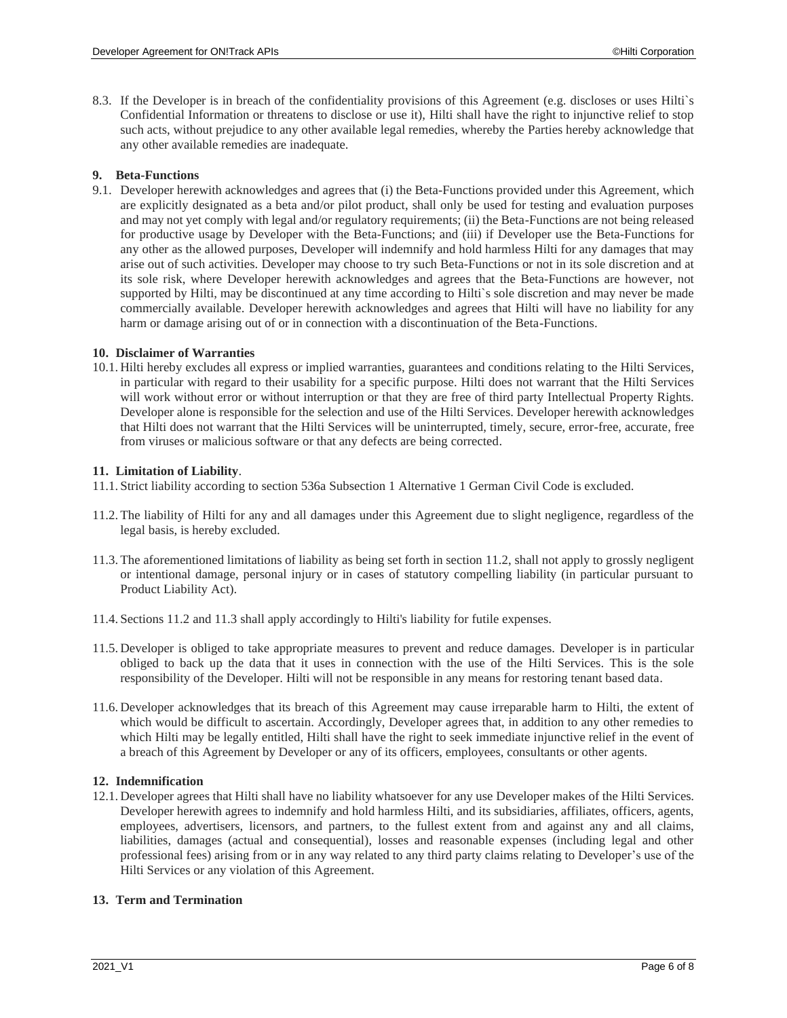8.3. If the Developer is in breach of the confidentiality provisions of this Agreement (e.g. discloses or uses Hilti`s Confidential Information or threatens to disclose or use it), Hilti shall have the right to injunctive relief to stop such acts, without prejudice to any other available legal remedies, whereby the Parties hereby acknowledge that any other available remedies are inadequate.

### **9. Beta-Functions**

9.1. Developer herewith acknowledges and agrees that (i) the Beta-Functions provided under this Agreement, which are explicitly designated as a beta and/or pilot product, shall only be used for testing and evaluation purposes and may not yet comply with legal and/or regulatory requirements; (ii) the Beta-Functions are not being released for productive usage by Developer with the Beta-Functions; and (iii) if Developer use the Beta-Functions for any other as the allowed purposes, Developer will indemnify and hold harmless Hilti for any damages that may arise out of such activities. Developer may choose to try such Beta-Functions or not in its sole discretion and at its sole risk, where Developer herewith acknowledges and agrees that the Beta-Functions are however, not supported by Hilti, may be discontinued at any time according to Hilti`s sole discretion and may never be made commercially available. Developer herewith acknowledges and agrees that Hilti will have no liability for any harm or damage arising out of or in connection with a discontinuation of the Beta-Functions.

# <span id="page-5-0"></span>**10. Disclaimer of Warranties**

10.1. Hilti hereby excludes all express or implied warranties, guarantees and conditions relating to the Hilti Services, in particular with regard to their usability for a specific purpose. Hilti does not warrant that the Hilti Services will work without error or without interruption or that they are free of third party Intellectual Property Rights. Developer alone is responsible for the selection and use of the Hilti Services. Developer herewith acknowledges that Hilti does not warrant that the Hilti Services will be uninterrupted, timely, secure, error-free, accurate, free from viruses or malicious software or that any defects are being corrected.

# <span id="page-5-1"></span>**11. Limitation of Liability**.

- 11.1. Strict liability according to section 536a Subsection 1 Alternative 1 German Civil Code is excluded.
- <span id="page-5-3"></span>11.2.The liability of Hilti for any and all damages under this Agreement due to slight negligence, regardless of the legal basis, is hereby excluded.
- <span id="page-5-4"></span>11.3.The aforementioned limitations of liability as being set forth in section [11.2,](#page-5-3) shall not apply to grossly negligent or intentional damage, personal injury or in cases of statutory compelling liability (in particular pursuant to Product Liability Act).
- 11.4. Sections [11.2](#page-5-3) and [11.3](#page-5-4) shall apply accordingly to Hilti's liability for futile expenses.
- 11.5. Developer is obliged to take appropriate measures to prevent and reduce damages. Developer is in particular obliged to back up the data that it uses in connection with the use of the Hilti Services. This is the sole responsibility of the Developer. Hilti will not be responsible in any means for restoring tenant based data.
- 11.6. Developer acknowledges that its breach of this Agreement may cause irreparable harm to Hilti, the extent of which would be difficult to ascertain. Accordingly, Developer agrees that, in addition to any other remedies to which Hilti may be legally entitled, Hilti shall have the right to seek immediate injunctive relief in the event of a breach of this Agreement by Developer or any of its officers, employees, consultants or other agents.

# <span id="page-5-2"></span>**12. Indemnification**

12.1. Developer agrees that Hilti shall have no liability whatsoever for any use Developer makes of the Hilti Services. Developer herewith agrees to indemnify and hold harmless Hilti, and its subsidiaries, affiliates, officers, agents, employees, advertisers, licensors, and partners, to the fullest extent from and against any and all claims, liabilities, damages (actual and consequential), losses and reasonable expenses (including legal and other professional fees) arising from or in any way related to any third party claims relating to Developer's use of the Hilti Services or any violation of this Agreement.

### <span id="page-5-5"></span>**13. Term and Termination**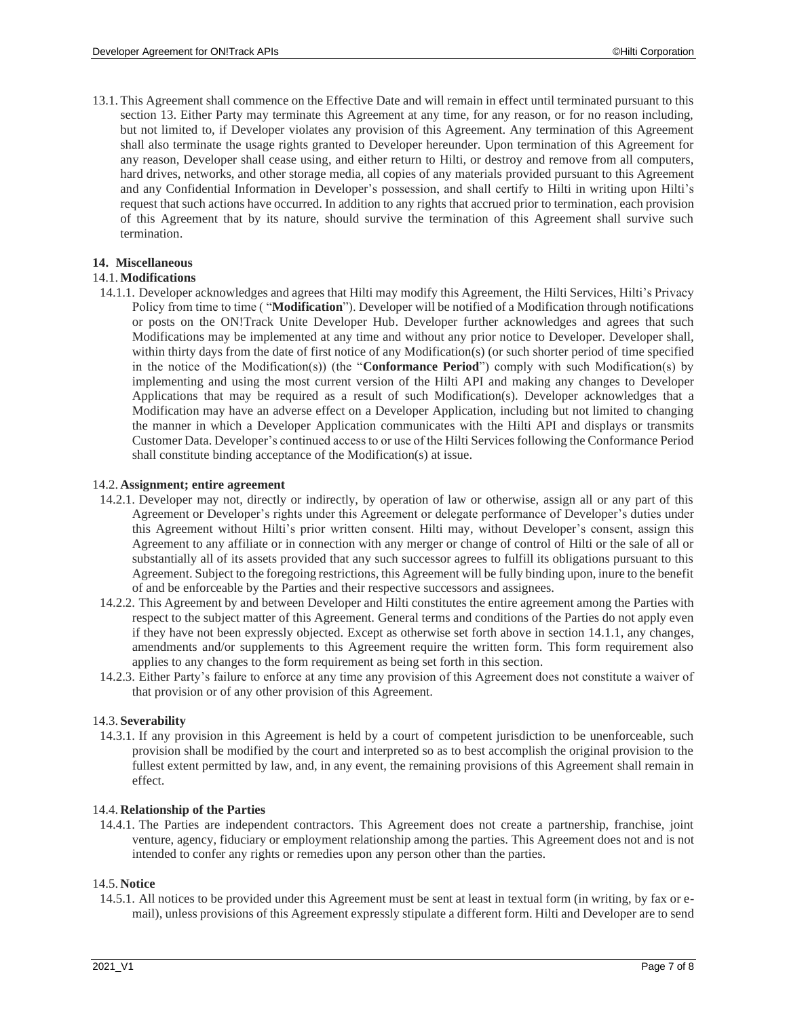13.1.This Agreement shall commence on the Effective Date and will remain in effect until terminated pursuant to this section [13.](#page-5-5) Either Party may terminate this Agreement at any time, for any reason, or for no reason including, but not limited to, if Developer violates any provision of this Agreement. Any termination of this Agreement shall also terminate the usage rights granted to Developer hereunder. Upon termination of this Agreement for any reason, Developer shall cease using, and either return to Hilti, or destroy and remove from all computers, hard drives, networks, and other storage media, all copies of any materials provided pursuant to this Agreement and any Confidential Information in Developer's possession, and shall certify to Hilti in writing upon Hilti's request that such actions have occurred. In addition to any rights that accrued prior to termination, each provision of this Agreement that by its nature, should survive the termination of this Agreement shall survive such termination.

# **14. Miscellaneous**

### 14.1.**Modifications**

<span id="page-6-0"></span>14.1.1. Developer acknowledges and agrees that Hilti may modify this Agreement, the Hilti Services, Hilti's Privacy Policy from time to time ( "**Modification**"). Developer will be notified of a Modification through notifications or posts on the ON!Track Unite Developer Hub. Developer further acknowledges and agrees that such Modifications may be implemented at any time and without any prior notice to Developer. Developer shall, within thirty days from the date of first notice of any Modification(s) (or such shorter period of time specified in the notice of the Modification(s)) (the "**Conformance Period**") comply with such Modification(s) by implementing and using the most current version of the Hilti API and making any changes to Developer Applications that may be required as a result of such Modification(s). Developer acknowledges that a Modification may have an adverse effect on a Developer Application, including but not limited to changing the manner in which a Developer Application communicates with the Hilti API and displays or transmits Customer Data. Developer's continued access to or use of the Hilti Services following the Conformance Period shall constitute binding acceptance of the Modification(s) at issue.

#### 14.2. **Assignment; entire agreement**

- 14.2.1. Developer may not, directly or indirectly, by operation of law or otherwise, assign all or any part of this Agreement or Developer's rights under this Agreement or delegate performance of Developer's duties under this Agreement without Hilti's prior written consent. Hilti may, without Developer's consent, assign this Agreement to any affiliate or in connection with any merger or change of control of Hilti or the sale of all or substantially all of its assets provided that any such successor agrees to fulfill its obligations pursuant to this Agreement. Subject to the foregoing restrictions, this Agreement will be fully binding upon, inure to the benefit of and be enforceable by the Parties and their respective successors and assignees.
- 14.2.2. This Agreement by and between Developer and Hilti constitutes the entire agreement among the Parties with respect to the subject matter of this Agreement. General terms and conditions of the Parties do not apply even if they have not been expressly objected. Except as otherwise set forth above in section [14.1.1,](#page-6-0) any changes, amendments and/or supplements to this Agreement require the written form. This form requirement also applies to any changes to the form requirement as being set forth in this section.
- 14.2.3. Either Party's failure to enforce at any time any provision of this Agreement does not constitute a waiver of that provision or of any other provision of this Agreement.

#### 14.3. **Severability**

14.3.1. If any provision in this Agreement is held by a court of competent jurisdiction to be unenforceable, such provision shall be modified by the court and interpreted so as to best accomplish the original provision to the fullest extent permitted by law, and, in any event, the remaining provisions of this Agreement shall remain in effect.

#### 14.4. **Relationship of the Parties**

14.4.1. The Parties are independent contractors. This Agreement does not create a partnership, franchise, joint venture, agency, fiduciary or employment relationship among the parties. This Agreement does not and is not intended to confer any rights or remedies upon any person other than the parties.

#### 14.5. **Notice**

14.5.1. All notices to be provided under this Agreement must be sent at least in textual form (in writing, by fax or email), unless provisions of this Agreement expressly stipulate a different form. Hilti and Developer are to send